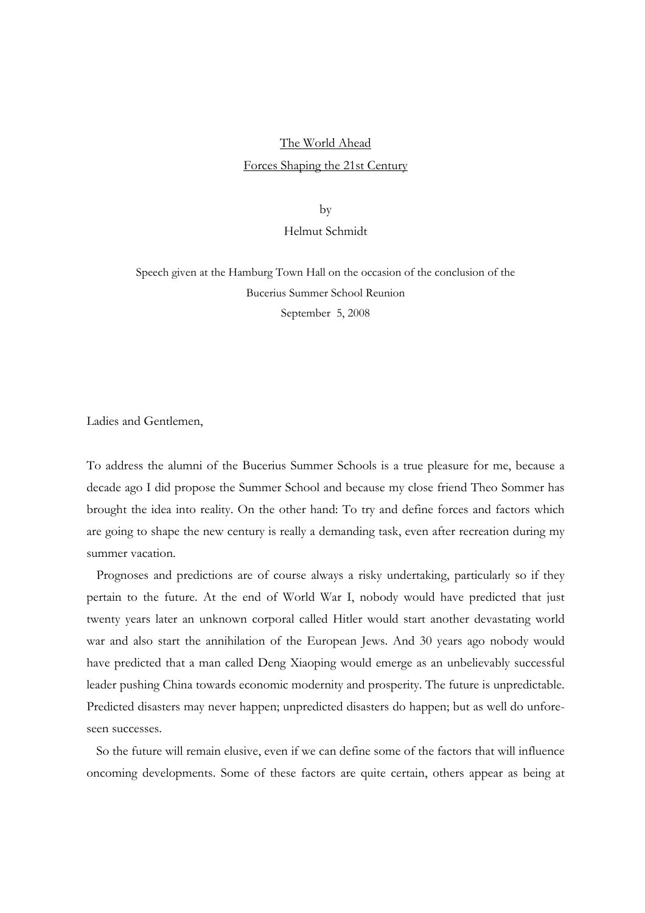# The World Ahead Forces Shaping the 21st Century

by

# Helmut Schmidt

Speech given at the Hamburg Town Hall on the occasion of the conclusion of the Bucerius Summer School Reunion September 5, 2008

Ladies and Gentlemen,

To address the alumni of the Bucerius Summer Schools is a true pleasure for me, because a decade ago I did propose the Summer School and because my close friend Theo Sommer has brought the idea into reality. On the other hand: To try and define forces and factors which are going to shape the new century is really a demanding task, even after recreation during my summer vacation.

Prognoses and predictions are of course always a risky undertaking, particularly so if they pertain to the future. At the end of World War I, nobody would have predicted that just twenty years later an unknown corporal called Hitler would start another devastating world war and also start the annihilation of the European Jews. And 30 years ago nobody would have predicted that a man called Deng Xiaoping would emerge as an unbelievably successful leader pushing China towards economic modernity and prosperity. The future is unpredictable. Predicted disasters may never happen; unpredicted disasters do happen; but as well do unforeseen successes.

So the future will remain elusive, even if we can define some of the factors that will influence oncoming developments. Some of these factors are quite certain, others appear as being at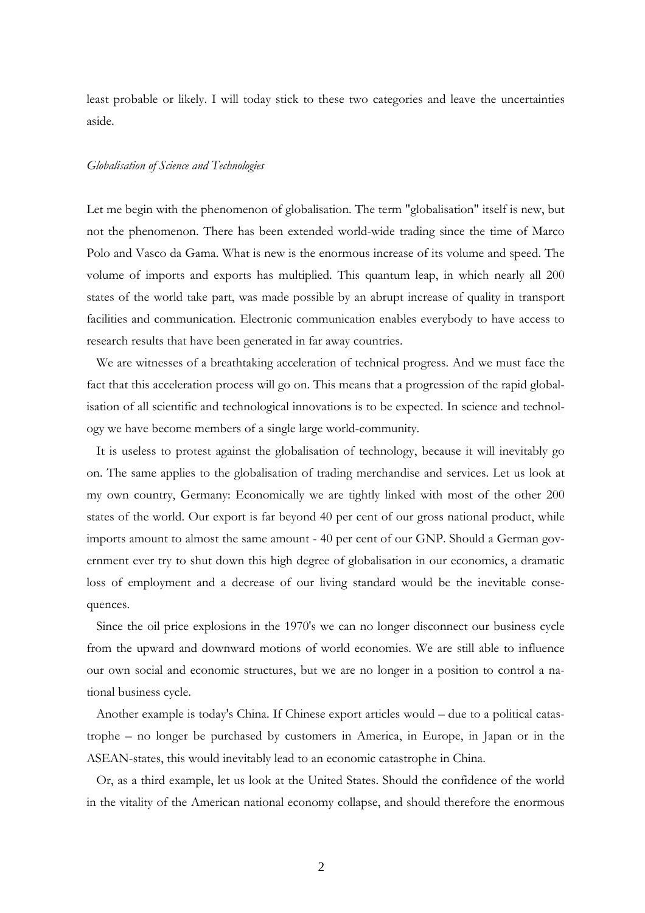least probable or likely. I will today stick to these two categories and leave the uncertainties aside.

#### *Globalisation of Science and Technologies*

Let me begin with the phenomenon of globalisation. The term "globalisation" itself is new, but not the phenomenon. There has been extended world-wide trading since the time of Marco Polo and Vasco da Gama. What is new is the enormous increase of its volume and speed. The volume of imports and exports has multiplied. This quantum leap, in which nearly all 200 states of the world take part, was made possible by an abrupt increase of quality in transport facilities and communication. Electronic communication enables everybody to have access to research results that have been generated in far away countries.

We are witnesses of a breathtaking acceleration of technical progress. And we must face the fact that this acceleration process will go on. This means that a progression of the rapid globalisation of all scientific and technological innovations is to be expected. In science and technology we have become members of a single large world-community.

It is useless to protest against the globalisation of technology, because it will inevitably go on. The same applies to the globalisation of trading merchandise and services. Let us look at my own country, Germany: Economically we are tightly linked with most of the other 200 states of the world. Our export is far beyond 40 per cent of our gross national product, while imports amount to almost the same amount - 40 per cent of our GNP. Should a German government ever try to shut down this high degree of globalisation in our economics, a dramatic loss of employment and a decrease of our living standard would be the inevitable consequences.

Since the oil price explosions in the 1970's we can no longer disconnect our business cycle from the upward and downward motions of world economies. We are still able to influence our own social and economic structures, but we are no longer in a position to control a national business cycle.

Another example is today's China. If Chinese export articles would – due to a political catastrophe – no longer be purchased by customers in America, in Europe, in Japan or in the ASEAN-states, this would inevitably lead to an economic catastrophe in China.

Or, as a third example, let us look at the United States. Should the confidence of the world in the vitality of the American national economy collapse, and should therefore the enormous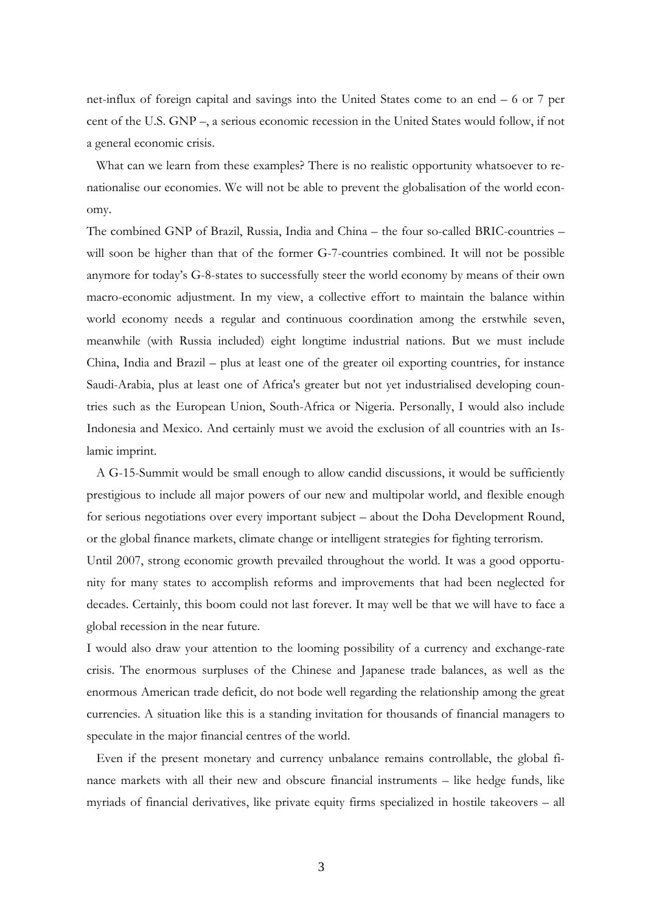net-influx of foreign capital and savings into the United States come to an end – 6 or 7 per cent of the U.S. GNP –, a serious economic recession in the United States would follow, if not a general economic crisis.

What can we learn from these examples? There is no realistic opportunity whatsoever to renationalise our economies. We will not be able to prevent the globalisation of the world economy.

The combined GNP of Brazil, Russia, India and China – the four so-called BRIC-countries – will soon be higher than that of the former G-7-countries combined. It will not be possible anymore for today's G-8-states to successfully steer the world economy by means of their own macro-economic adjustment. In my view, a collective effort to maintain the balance within world economy needs a regular and continuous coordination among the erstwhile seven, meanwhile (with Russia included) eight longtime industrial nations. But we must include China, India and Brazil – plus at least one of the greater oil exporting countries, for instance Saudi-Arabia, plus at least one of Africa's greater but not yet industrialised developing countries such as the European Union, South-Africa or Nigeria. Personally, I would also include Indonesia and Mexico. And certainly must we avoid the exclusion of all countries with an Islamic imprint.

A G-15-Summit would be small enough to allow candid discussions, it would be sufficiently prestigious to include all major powers of our new and multipolar world, and flexible enough for serious negotiations over every important subject – about the Doha Development Round, or the global finance markets, climate change or intelligent strategies for fighting terrorism. Until 2007, strong economic growth prevailed throughout the world. It was a good opportunity for many states to accomplish reforms and improvements that had been neglected for decades. Certainly, this boom could not last forever. It may well be that we will have to face a global recession in the near future.

I would also draw your attention to the looming possibility of a currency and exchange-rate crisis. The enormous surpluses of the Chinese and Japanese trade balances, as well as the enormous American trade deficit, do not bode well regarding the relationship among the great currencies. A situation like this is a standing invitation for thousands of financial managers to speculate in the major financial centres of the world.

Even if the present monetary and currency unbalance remains controllable, the global finance markets with all their new and obscure financial instruments – like hedge funds, like myriads of financial derivatives, like private equity firms specialized in hostile takeovers – all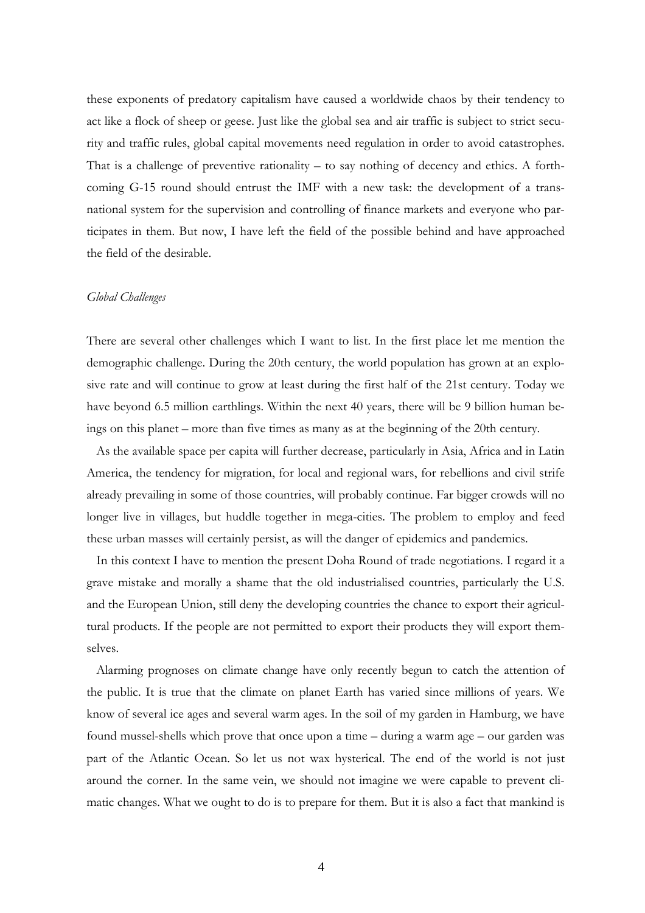these exponents of predatory capitalism have caused a worldwide chaos by their tendency to act like a flock of sheep or geese. Just like the global sea and air traffic is subject to strict security and traffic rules, global capital movements need regulation in order to avoid catastrophes. That is a challenge of preventive rationality – to say nothing of decency and ethics. A forthcoming G-15 round should entrust the IMF with a new task: the development of a transnational system for the supervision and controlling of finance markets and everyone who participates in them. But now, I have left the field of the possible behind and have approached the field of the desirable.

#### *Global Challenges*

There are several other challenges which I want to list. In the first place let me mention the demographic challenge. During the 20th century, the world population has grown at an explosive rate and will continue to grow at least during the first half of the 21st century. Today we have beyond 6.5 million earthlings. Within the next 40 years, there will be 9 billion human beings on this planet – more than five times as many as at the beginning of the 20th century.

As the available space per capita will further decrease, particularly in Asia, Africa and in Latin America, the tendency for migration, for local and regional wars, for rebellions and civil strife already prevailing in some of those countries, will probably continue. Far bigger crowds will no longer live in villages, but huddle together in mega-cities. The problem to employ and feed these urban masses will certainly persist, as will the danger of epidemics and pandemics.

In this context I have to mention the present Doha Round of trade negotiations. I regard it a grave mistake and morally a shame that the old industrialised countries, particularly the U.S. and the European Union, still deny the developing countries the chance to export their agricultural products. If the people are not permitted to export their products they will export themselves.

Alarming prognoses on climate change have only recently begun to catch the attention of the public. It is true that the climate on planet Earth has varied since millions of years. We know of several ice ages and several warm ages. In the soil of my garden in Hamburg, we have found mussel-shells which prove that once upon a time – during a warm age – our garden was part of the Atlantic Ocean. So let us not wax hysterical. The end of the world is not just around the corner. In the same vein, we should not imagine we were capable to prevent climatic changes. What we ought to do is to prepare for them. But it is also a fact that mankind is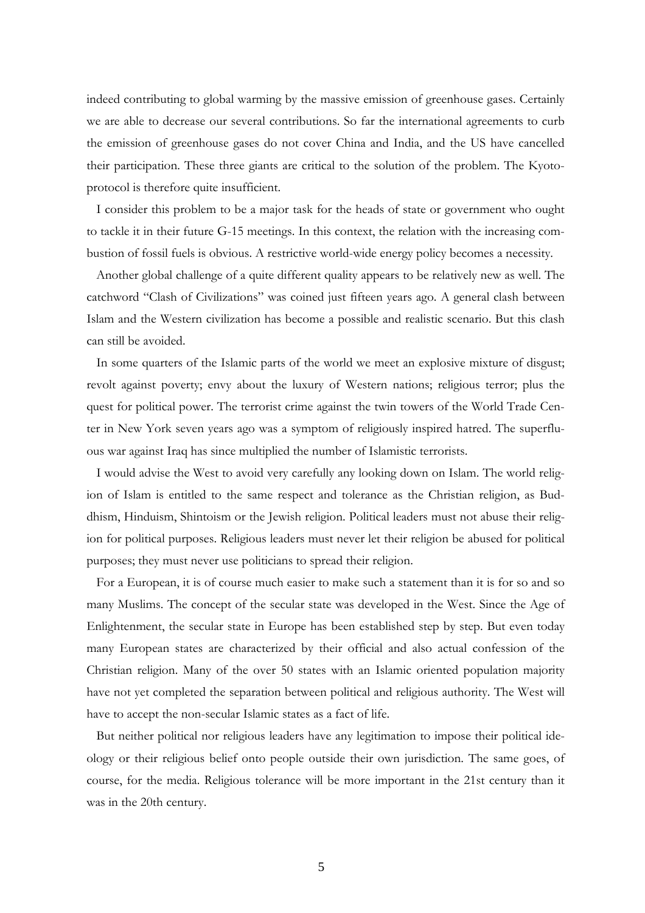indeed contributing to global warming by the massive emission of greenhouse gases. Certainly we are able to decrease our several contributions. So far the international agreements to curb the emission of greenhouse gases do not cover China and India, and the US have cancelled their participation. These three giants are critical to the solution of the problem. The Kyotoprotocol is therefore quite insufficient.

I consider this problem to be a major task for the heads of state or government who ought to tackle it in their future G-15 meetings. In this context, the relation with the increasing combustion of fossil fuels is obvious. A restrictive world-wide energy policy becomes a necessity.

Another global challenge of a quite different quality appears to be relatively new as well. The catchword "Clash of Civilizations" was coined just fifteen years ago. A general clash between Islam and the Western civilization has become a possible and realistic scenario. But this clash can still be avoided.

In some quarters of the Islamic parts of the world we meet an explosive mixture of disgust; revolt against poverty; envy about the luxury of Western nations; religious terror; plus the quest for political power. The terrorist crime against the twin towers of the World Trade Center in New York seven years ago was a symptom of religiously inspired hatred. The superfluous war against Iraq has since multiplied the number of Islamistic terrorists.

I would advise the West to avoid very carefully any looking down on Islam. The world religion of Islam is entitled to the same respect and tolerance as the Christian religion, as Buddhism, Hinduism, Shintoism or the Jewish religion. Political leaders must not abuse their religion for political purposes. Religious leaders must never let their religion be abused for political purposes; they must never use politicians to spread their religion.

For a European, it is of course much easier to make such a statement than it is for so and so many Muslims. The concept of the secular state was developed in the West. Since the Age of Enlightenment, the secular state in Europe has been established step by step. But even today many European states are characterized by their official and also actual confession of the Christian religion. Many of the over 50 states with an Islamic oriented population majority have not yet completed the separation between political and religious authority. The West will have to accept the non-secular Islamic states as a fact of life.

But neither political nor religious leaders have any legitimation to impose their political ideology or their religious belief onto people outside their own jurisdiction. The same goes, of course, for the media. Religious tolerance will be more important in the 21st century than it was in the 20th century.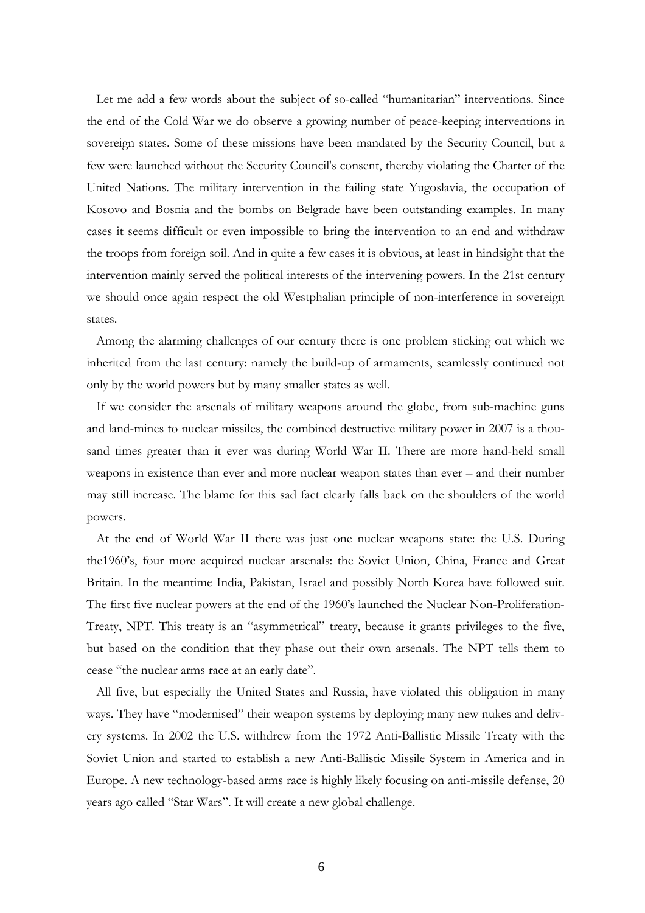Let me add a few words about the subject of so-called "humanitarian" interventions. Since the end of the Cold War we do observe a growing number of peace-keeping interventions in sovereign states. Some of these missions have been mandated by the Security Council, but a few were launched without the Security Council's consent, thereby violating the Charter of the United Nations. The military intervention in the failing state Yugoslavia, the occupation of Kosovo and Bosnia and the bombs on Belgrade have been outstanding examples. In many cases it seems difficult or even impossible to bring the intervention to an end and withdraw the troops from foreign soil. And in quite a few cases it is obvious, at least in hindsight that the intervention mainly served the political interests of the intervening powers. In the 21st century we should once again respect the old Westphalian principle of non-interference in sovereign states.

Among the alarming challenges of our century there is one problem sticking out which we inherited from the last century: namely the build-up of armaments, seamlessly continued not only by the world powers but by many smaller states as well.

If we consider the arsenals of military weapons around the globe, from sub-machine guns and land-mines to nuclear missiles, the combined destructive military power in 2007 is a thousand times greater than it ever was during World War II. There are more hand-held small weapons in existence than ever and more nuclear weapon states than ever – and their number may still increase. The blame for this sad fact clearly falls back on the shoulders of the world powers.

At the end of World War II there was just one nuclear weapons state: the U.S. During the1960's, four more acquired nuclear arsenals: the Soviet Union, China, France and Great Britain. In the meantime India, Pakistan, Israel and possibly North Korea have followed suit. The first five nuclear powers at the end of the 1960's launched the Nuclear Non-Proliferation-Treaty, NPT. This treaty is an "asymmetrical" treaty, because it grants privileges to the five, but based on the condition that they phase out their own arsenals. The NPT tells them to cease "the nuclear arms race at an early date".

All five, but especially the United States and Russia, have violated this obligation in many ways. They have "modernised" their weapon systems by deploying many new nukes and delivery systems. In 2002 the U.S. withdrew from the 1972 Anti-Ballistic Missile Treaty with the Soviet Union and started to establish a new Anti-Ballistic Missile System in America and in Europe. A new technology-based arms race is highly likely focusing on anti-missile defense, 20 years ago called "Star Wars". It will create a new global challenge.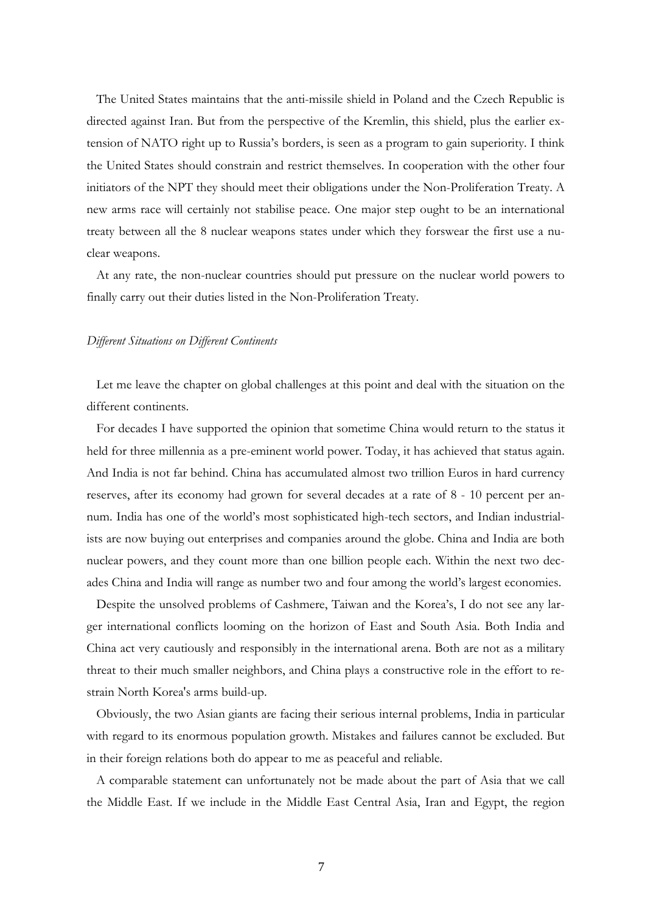The United States maintains that the anti-missile shield in Poland and the Czech Republic is directed against Iran. But from the perspective of the Kremlin, this shield, plus the earlier extension of NATO right up to Russia's borders, is seen as a program to gain superiority. I think the United States should constrain and restrict themselves. In cooperation with the other four initiators of the NPT they should meet their obligations under the Non-Proliferation Treaty. A new arms race will certainly not stabilise peace. One major step ought to be an international treaty between all the 8 nuclear weapons states under which they forswear the first use a nuclear weapons.

At any rate, the non-nuclear countries should put pressure on the nuclear world powers to finally carry out their duties listed in the Non-Proliferation Treaty.

#### *Different Situations on Different Continents*

Let me leave the chapter on global challenges at this point and deal with the situation on the different continents.

For decades I have supported the opinion that sometime China would return to the status it held for three millennia as a pre-eminent world power. Today, it has achieved that status again. And India is not far behind. China has accumulated almost two trillion Euros in hard currency reserves, after its economy had grown for several decades at a rate of 8 - 10 percent per annum. India has one of the world's most sophisticated high-tech sectors, and Indian industrialists are now buying out enterprises and companies around the globe. China and India are both nuclear powers, and they count more than one billion people each. Within the next two decades China and India will range as number two and four among the world's largest economies.

Despite the unsolved problems of Cashmere, Taiwan and the Korea's, I do not see any larger international conflicts looming on the horizon of East and South Asia. Both India and China act very cautiously and responsibly in the international arena. Both are not as a military threat to their much smaller neighbors, and China plays a constructive role in the effort to restrain North Korea's arms build-up.

Obviously, the two Asian giants are facing their serious internal problems, India in particular with regard to its enormous population growth. Mistakes and failures cannot be excluded. But in their foreign relations both do appear to me as peaceful and reliable.

A comparable statement can unfortunately not be made about the part of Asia that we call the Middle East. If we include in the Middle East Central Asia, Iran and Egypt, the region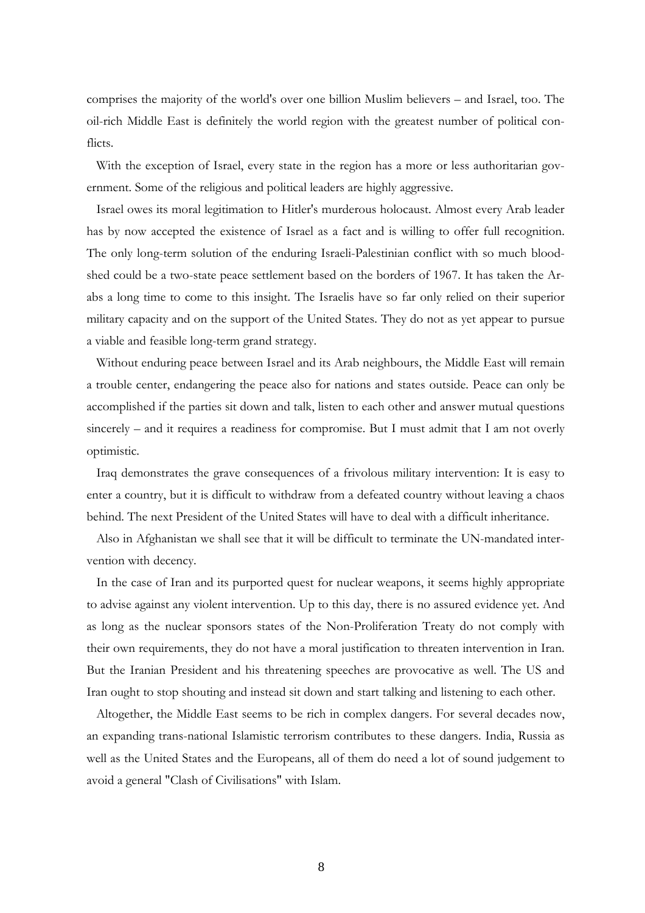comprises the majority of the world's over one billion Muslim believers – and Israel, too. The oil-rich Middle East is definitely the world region with the greatest number of political conflicts.

With the exception of Israel, every state in the region has a more or less authoritarian government. Some of the religious and political leaders are highly aggressive.

Israel owes its moral legitimation to Hitler's murderous holocaust. Almost every Arab leader has by now accepted the existence of Israel as a fact and is willing to offer full recognition. The only long-term solution of the enduring Israeli-Palestinian conflict with so much bloodshed could be a two-state peace settlement based on the borders of 1967. It has taken the Arabs a long time to come to this insight. The Israelis have so far only relied on their superior military capacity and on the support of the United States. They do not as yet appear to pursue a viable and feasible long-term grand strategy.

Without enduring peace between Israel and its Arab neighbours, the Middle East will remain a trouble center, endangering the peace also for nations and states outside. Peace can only be accomplished if the parties sit down and talk, listen to each other and answer mutual questions sincerely – and it requires a readiness for compromise. But I must admit that I am not overly optimistic.

Iraq demonstrates the grave consequences of a frivolous military intervention: It is easy to enter a country, but it is difficult to withdraw from a defeated country without leaving a chaos behind. The next President of the United States will have to deal with a difficult inheritance.

Also in Afghanistan we shall see that it will be difficult to terminate the UN-mandated intervention with decency.

In the case of Iran and its purported quest for nuclear weapons, it seems highly appropriate to advise against any violent intervention. Up to this day, there is no assured evidence yet. And as long as the nuclear sponsors states of the Non-Proliferation Treaty do not comply with their own requirements, they do not have a moral justification to threaten intervention in Iran. But the Iranian President and his threatening speeches are provocative as well. The US and Iran ought to stop shouting and instead sit down and start talking and listening to each other.

Altogether, the Middle East seems to be rich in complex dangers. For several decades now, an expanding trans-national Islamistic terrorism contributes to these dangers. India, Russia as well as the United States and the Europeans, all of them do need a lot of sound judgement to avoid a general "Clash of Civilisations" with Islam.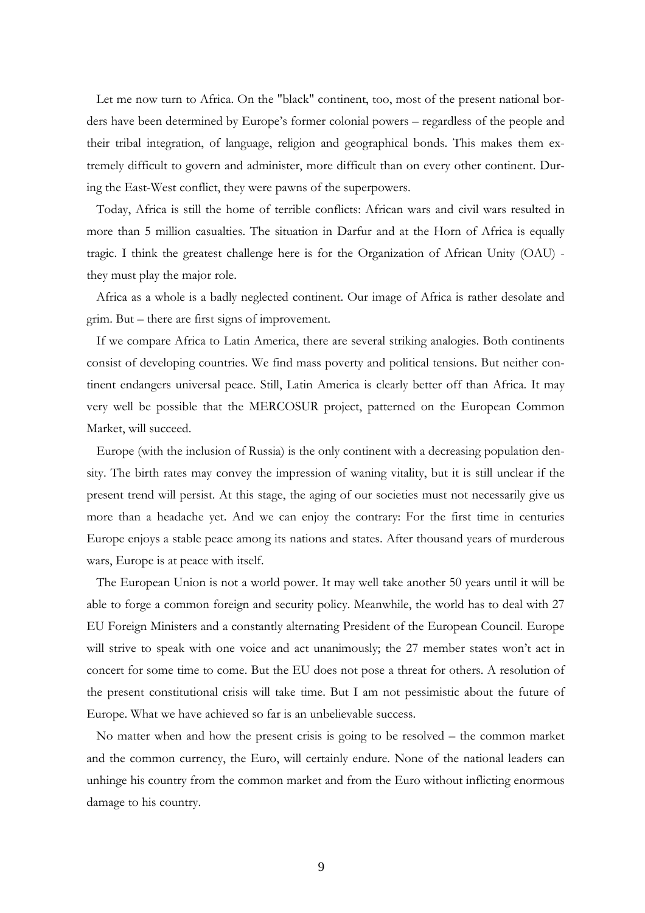Let me now turn to Africa. On the "black" continent, too, most of the present national borders have been determined by Europe's former colonial powers – regardless of the people and their tribal integration, of language, religion and geographical bonds. This makes them extremely difficult to govern and administer, more difficult than on every other continent. During the East-West conflict, they were pawns of the superpowers.

Today, Africa is still the home of terrible conflicts: African wars and civil wars resulted in more than 5 million casualties. The situation in Darfur and at the Horn of Africa is equally tragic. I think the greatest challenge here is for the Organization of African Unity (OAU) they must play the major role.

Africa as a whole is a badly neglected continent. Our image of Africa is rather desolate and grim. But – there are first signs of improvement.

If we compare Africa to Latin America, there are several striking analogies. Both continents consist of developing countries. We find mass poverty and political tensions. But neither continent endangers universal peace. Still, Latin America is clearly better off than Africa. It may very well be possible that the MERCOSUR project, patterned on the European Common Market, will succeed.

Europe (with the inclusion of Russia) is the only continent with a decreasing population density. The birth rates may convey the impression of waning vitality, but it is still unclear if the present trend will persist. At this stage, the aging of our societies must not necessarily give us more than a headache yet. And we can enjoy the contrary: For the first time in centuries Europe enjoys a stable peace among its nations and states. After thousand years of murderous wars, Europe is at peace with itself.

The European Union is not a world power. It may well take another 50 years until it will be able to forge a common foreign and security policy. Meanwhile, the world has to deal with 27 EU Foreign Ministers and a constantly alternating President of the European Council. Europe will strive to speak with one voice and act unanimously; the 27 member states won't act in concert for some time to come. But the EU does not pose a threat for others. A resolution of the present constitutional crisis will take time. But I am not pessimistic about the future of Europe. What we have achieved so far is an unbelievable success.

No matter when and how the present crisis is going to be resolved – the common market and the common currency, the Euro, will certainly endure. None of the national leaders can unhinge his country from the common market and from the Euro without inflicting enormous damage to his country.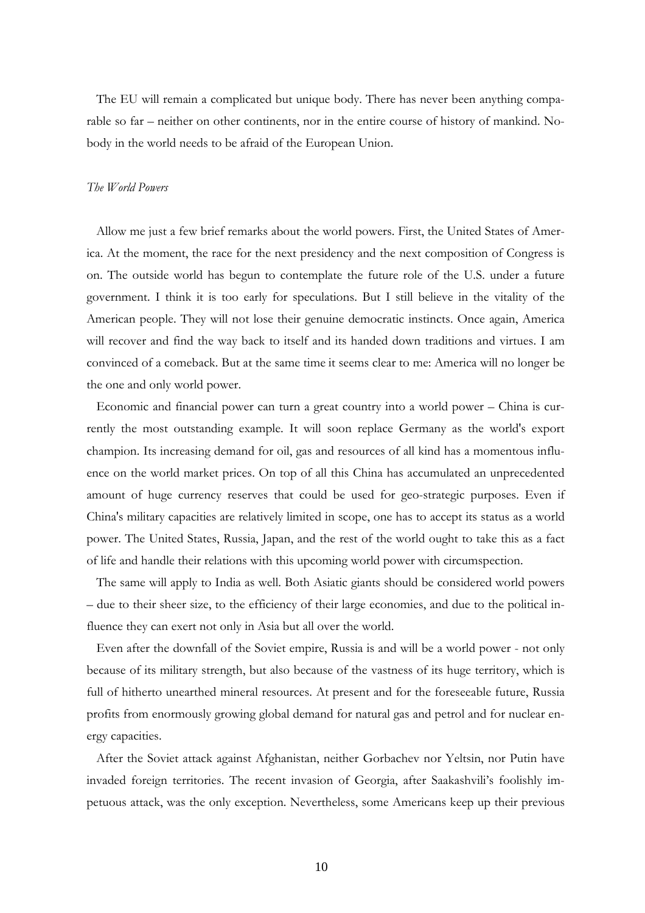The EU will remain a complicated but unique body. There has never been anything comparable so far – neither on other continents, nor in the entire course of history of mankind. Nobody in the world needs to be afraid of the European Union.

## *The World Powers*

Allow me just a few brief remarks about the world powers. First, the United States of America. At the moment, the race for the next presidency and the next composition of Congress is on. The outside world has begun to contemplate the future role of the U.S. under a future government. I think it is too early for speculations. But I still believe in the vitality of the American people. They will not lose their genuine democratic instincts. Once again, America will recover and find the way back to itself and its handed down traditions and virtues. I am convinced of a comeback. But at the same time it seems clear to me: America will no longer be the one and only world power.

Economic and financial power can turn a great country into a world power – China is currently the most outstanding example. It will soon replace Germany as the world's export champion. Its increasing demand for oil, gas and resources of all kind has a momentous influence on the world market prices. On top of all this China has accumulated an unprecedented amount of huge currency reserves that could be used for geo-strategic purposes. Even if China's military capacities are relatively limited in scope, one has to accept its status as a world power. The United States, Russia, Japan, and the rest of the world ought to take this as a fact of life and handle their relations with this upcoming world power with circumspection.

The same will apply to India as well. Both Asiatic giants should be considered world powers – due to their sheer size, to the efficiency of their large economies, and due to the political influence they can exert not only in Asia but all over the world.

Even after the downfall of the Soviet empire, Russia is and will be a world power - not only because of its military strength, but also because of the vastness of its huge territory, which is full of hitherto unearthed mineral resources. At present and for the foreseeable future, Russia profits from enormously growing global demand for natural gas and petrol and for nuclear energy capacities.

After the Soviet attack against Afghanistan, neither Gorbachev nor Yeltsin, nor Putin have invaded foreign territories. The recent invasion of Georgia, after Saakashvili's foolishly impetuous attack, was the only exception. Nevertheless, some Americans keep up their previous